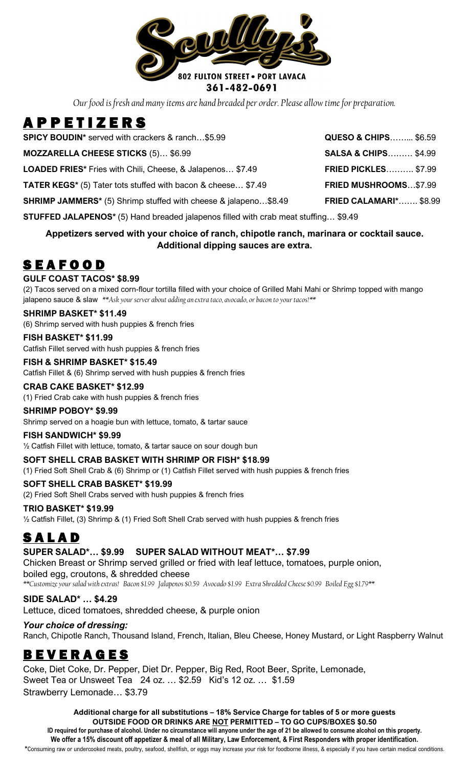

*Our food is fresh and many items are hand breaded per order. Please allow time for preparation.*

# A P P E T I Z E R S

| <b>SPICY BOUDIN*</b> served with crackers & ranch\$5.99                | <b>QUESO &amp; CHIPS \$6.59</b> |
|------------------------------------------------------------------------|---------------------------------|
| <b>MOZZARELLA CHEESE STICKS (5) \$6.99</b>                             | <b>SALSA &amp; CHIPS \$4.99</b> |
| <b>LOADED FRIES*</b> Fries with Chili, Cheese, & Jalapenos \$7.49      | <b>FRIED PICKLES \$7.99</b>     |
| <b>TATER KEGS*</b> (5) Tater tots stuffed with bacon & cheese \$7.49   | <b>FRIED MUSHROOMS\$7.99</b>    |
| <b>SHRIMP JAMMERS*</b> (5) Shrimp stuffed with cheese & jalapeno\$8.49 | <b>FRIED CALAMARI* \$8.99</b>   |

**STUFFED JALAPENOS\*** (5) Hand breaded jalapenos filled with crab meat stuffing… \$9.49

# **Appetizers served with your choice of ranch, chipotle ranch, marinara or cocktail sauce. Additional dipping sauces are extra.**

# **SEAFOOD**

# **GULF COAST TACOS\* \$8.99**

(2) Tacos served on a mixed corn-flour tortilla filled with your choice of Grilled Mahi Mahi or Shrimp topped with mango jalapeno sauce & slaw *\*\*Ask yourserver about adding an extra taco, avocado, or bacon to your tacos!\*\**

# **SHRIMP BASKET\* \$11.49**

(6) Shrimp served with hush puppies & french fries

**FISH BASKET\* \$11.99** Catfish Fillet served with hush puppies & french fries

**FISH & SHRIMP BASKET\* \$15.49** Catfish Fillet & (6) Shrimp served with hush puppies & french fries

# **CRAB CAKE BASKET\* \$12.99**

(1) Fried Crab cake with hush puppies & french fries

**SHRIMP POBOY\* \$9.99** Shrimp served on a hoagie bun with lettuce, tomato, & tartar sauce

# **FISH SANDWICH\* \$9.99**

½ Catfish Fillet with lettuce, tomato, & tartar sauce on sour dough bun

# **SOFT SHELL CRAB BASKET WITH SHRIMP OR FISH\* \$18.99**

(1) Fried Soft Shell Crab & (6) Shrimp or (1) Catfish Fillet served with hush puppies & french fries

# **SOFT SHELL CRAB BASKET\* \$19.99**

(2) Fried Soft Shell Crabs served with hush puppies & french fries

**TRIO BASKET\* \$19.99** ½ Catfish Fillet, (3) Shrimp & (1) Fried Soft Shell Crab served with hush puppies & french fries

# **SALAD**

# **SUPER SALAD\*… \$9.99 SUPER SALAD WITHOUT MEAT\*… \$7.99**

Chicken Breast or Shrimp served grilled or fried with leaf lettuce, tomatoes, purple onion, boiled egg, croutons, & shredded cheese

*\*\*Customize your salad with extras! Bacon \$1.99 Jalapenos \$0.59 Avocado \$1.99 Extra Shredded Cheese \$0.99 Boiled Egg \$1.79\*\**

**SIDE SALAD\* … \$4.29**

Lettuce, diced tomatoes, shredded cheese, & purple onion

*Your choice of dressing:* Ranch, Chipotle Ranch, Thousand Island, French, Italian, Bleu Cheese, Honey Mustard, or Light Raspberry Walnut

# B E V E R A G E S

Coke, Diet Coke, Dr. Pepper, Diet Dr. Pepper, Big Red, Root Beer, Sprite, Lemonade, Sweet Tea or Unsweet Tea 24 oz. … \$2.59 Kid's 12 oz. … \$1.59 Strawberry Lemonade… \$3.79

**Additional charge for all substitutions – 18% Service Charge for tables of 5 or more guests OUTSIDE FOOD OR DRINKS ARE NOT PERMITTED – TO GO CUPS/BOXES \$0.50 ID required for purchase of alcohol. Under no circumstance will anyone under the age of 21 be allowed to consume alcohol on this property. We offer a 15% discount off appetizer & meal of all Military, Law Enforcement, & First Responders with proper identification. \***Consuming raw or undercooked meats, poultry, seafood, shellfish, or eggs may increase your risk for foodborne illness, & especially if you have certain medical conditions.